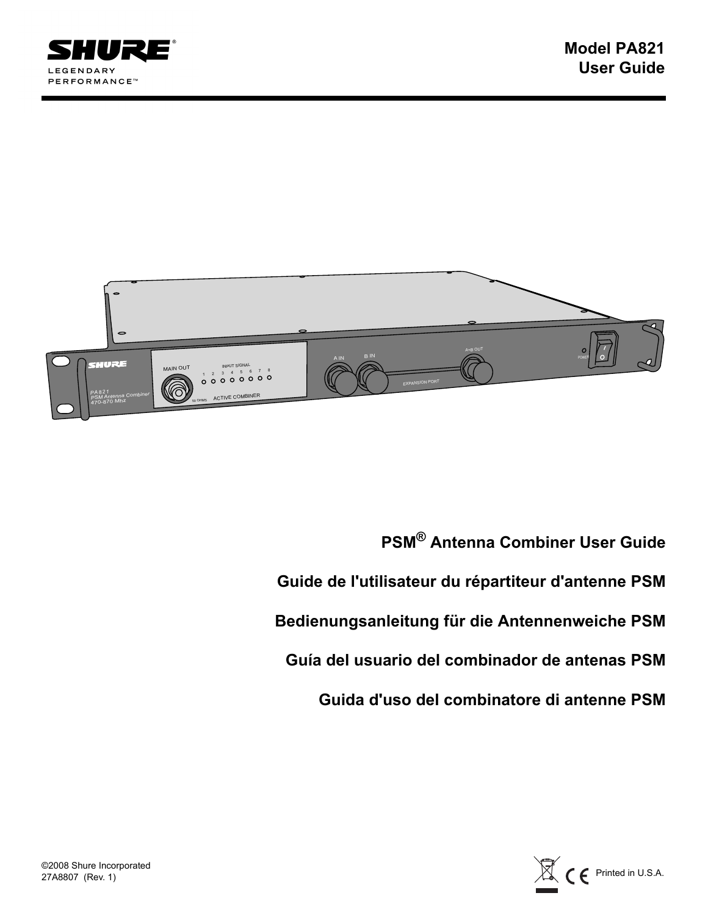



**PSM® Antenna Combiner User Guide Guide de l'utilisateur du répartiteur d'antenne PSM Bedienungsanleitung für die Antennenweiche PSM Guía del usuario del combinador de antenas PSM Guida d'uso del combinatore di antenne PSM**

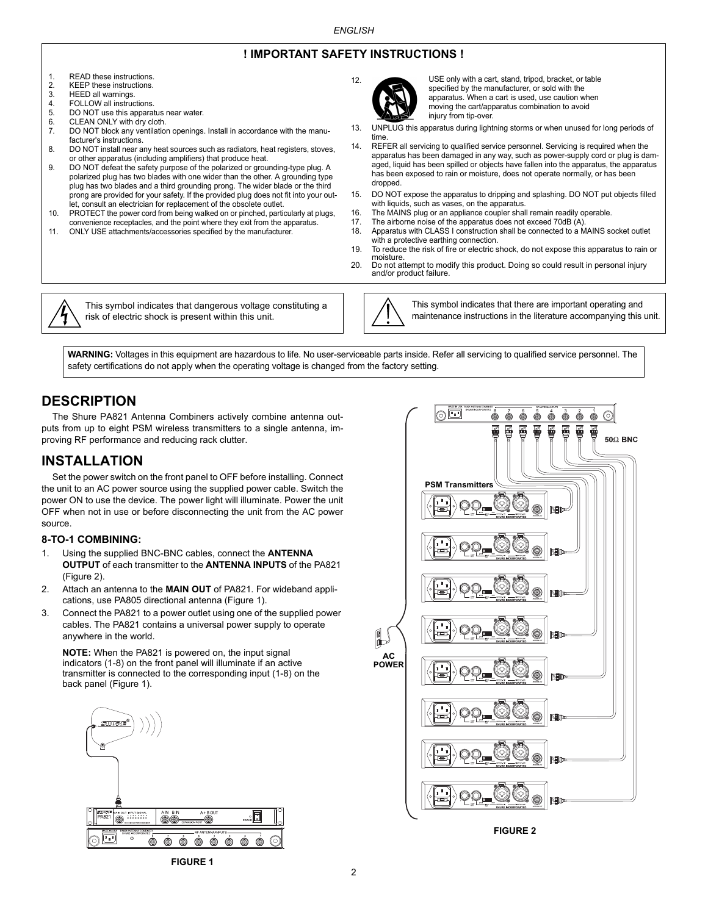## **! IMPORTANT SAFETY INSTRUCTIONS !**

12.

- 1. READ these instructions.<br>2. KEEP these instructions.
- 2. KEEP these instructions.<br>3. HEED all warnings.
- 3. HEED all warnings.<br>4. FOLLOW all instruc
- FOLLOW all instructions.
- 5. DO NOT use this apparatus near water.<br>6. CLEAN ONLY with dry cloth.
- 6. CLEAN ONLY with dry cloth.<br>7. DO NOT block any ventilation
- DO NOT block any ventilation openings. Install in accordance with the manufacturer's instructions.
- 8. DO NOT install near any heat sources such as radiators, heat registers, stoves, or other apparatus (including amplifiers) that produce heat.
- 9. DO NOT defeat the safety purpose of the polarized or grounding-type plug. A polarized plug has two blades with one wider than the other. A grounding type plug has two blades and a third grounding prong. The wider blade or the third prong are provided for your safety. If the provided plug does not fit into your outlet, consult an electrician for replacement of the obsolete outlet.
- 10. PROTECT the power cord from being walked on or pinched, particularly at plugs, convenience receptacles, and the point where they exit from the apparatus.
- 11. ONLY USE attachments/accessories specified by the manufacturer.



USE only with a cart, stand, tripod, bracket, or table specified by the manufacturer, or sold with the apparatus. When a cart is used, use caution when moving the cart/apparatus combination to avoid injury from tip-over.

- 13. UNPLUG this apparatus during lightning storms or when unused for long periods of time.
- 14. REFER all servicing to qualified service personnel. Servicing is required when the apparatus has been damaged in any way, such as power-supply cord or plug is damaged, liquid has been spilled or objects have fallen into the apparatus, the apparatus has been exposed to rain or moisture, does not operate normally, or has been dropped.
- 15. DO NOT expose the apparatus to dripping and splashing. DO NOT put objects filled with liquids, such as vases, on the apparatus.
- 16. The MAINS plug or an appliance coupler shall remain readily operable.<br>17. The airborne poise of the apparatus does not exceed 70dB (A)
- The airborne noise of the apparatus does not exceed 70dB (A).

00

- 18. Apparatus with CLASS I construction shall be connected to a MAINS socket outlet with a protective earthing connection.
- 19. To reduce the risk of fire or electric shock, do not expose this apparatus to rain or moisture.
- 20. Do not attempt to modify this product. Doing so could result in personal injury and/or product failure.



This symbol indicates that dangerous voltage constituting a risk of electric shock is present within this unit.

This symbol indicates that there are important operating and maintenance instructions in the literature accompanying this unit.

 $\odot$ 

**WARNING:** Voltages in this equipment are hazardous to life. No user-serviceable parts inside. Refer all servicing to qualified service personnel. The safety certifications do not apply when the operating voltage is changed from the factory setting.

# **DESCRIPTION**

The Shure PA821 Antenna Combiners actively combine antenna outputs from up to eight PSM wireless transmitters to a single antenna, improving RF performance and reducing rack clutter.

# **INSTALLATION**

Set the power switch on the front panel to OFF before installing. Connect the unit to an AC power source using the supplied power cable. Switch the power ON to use the device. The power light will illuminate. Power the unit OFF when not in use or before disconnecting the unit from the AC power source.

#### **8-TO-1 COMBINING:**

- 1. Using the supplied BNC-BNC cables, connect the **ANTENNA OUTPUT** of each transmitter to the **ANTENNA INPUTS** of the PA821 (Figure 2).
- 2. Attach an antenna to the **MAIN OUT** of PA821. For wideband applications, use PA805 directional antenna (Figure 1).
- 3. Connect the PA821 to a power outlet using one of the supplied power cables. The PA821 contains a universal power supply to operate anywhere in the world.

**NOTE:** When the PA821 is powered on, the input signal indicators (1-8) on the front panel will illuminate if an active transmitter is connected to the corresponding input (1-8) on the back panel (Figure 1).





**FIGURE 2**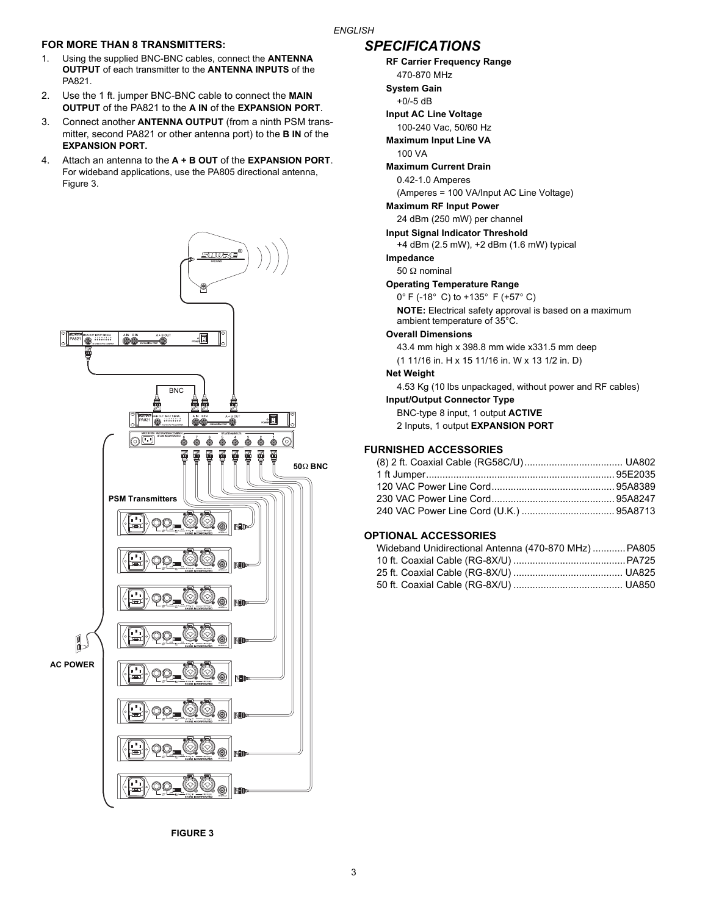### *ENGLISH*

## **FOR MORE THAN 8 TRANSMITTERS:**

- 1. Using the supplied BNC-BNC cables, connect the **ANTENNA OUTPUT** of each transmitter to the **ANTENNA INPUTS** of the PA821.
- 2. Use the 1 ft. jumper BNC-BNC cable to connect the **MAIN OUTPUT** of the PA821 to the **A IN** of the **EXPANSION PORT**.
- 3. Connect another **ANTENNA OUTPUT** (from a ninth PSM transmitter, second PA821 or other antenna port) to the **B IN** of the **EXPANSION PORT.**
- 4. Attach an antenna to the **A + B OUT** of the **EXPANSION PORT**. For wideband applications, use the PA805 directional antenna, Figure 3.



## *SPECIFICATIONS*

**RF Carrier Frequency Range** 470-870 MHz

- **System Gain**
- +0/-5 dB
- **Input AC Line Voltage**
- 100-240 Vac, 50/60 Hz
- **Maximum Input Line VA**
- 100 VA

#### **Maximum Current Drain**

0.42-1.0 Amperes

(Amperes = 100 VA/Input AC Line Voltage)

## **Maximum RF Input Power**

24 dBm (250 mW) per channel

#### **Input Signal Indicator Threshold**

+4 dBm (2.5 mW), +2 dBm (1.6 mW) typical

#### **Impedance**

50 Ω nominal

## **Operating Temperature Range**

0° F (-18° C) to +135° F (+57° C)

**NOTE:** Electrical safety approval is based on a maximum ambient temperature of 35°C.

#### **Overall Dimensions**

43.4 mm high x 398.8 mm wide x331.5 mm deep

(1 11/16 in. H x 15 11/16 in. W x 13 1/2 in. D)

### **Net Weight**

4.53 Kg (10 lbs unpackaged, without power and RF cables)

**Input/Output Connector Type**

BNC-type 8 input, 1 output **ACTIVE**

2 Inputs, 1 output **EXPANSION PORT**

## **FURNISHED ACCESSORIES**

### **OPTIONAL ACCESSORIES**

| Wideband Unidirectional Antenna (470-870 MHz)  PA805 |  |
|------------------------------------------------------|--|
|                                                      |  |
|                                                      |  |
|                                                      |  |

**FIGURE 3**